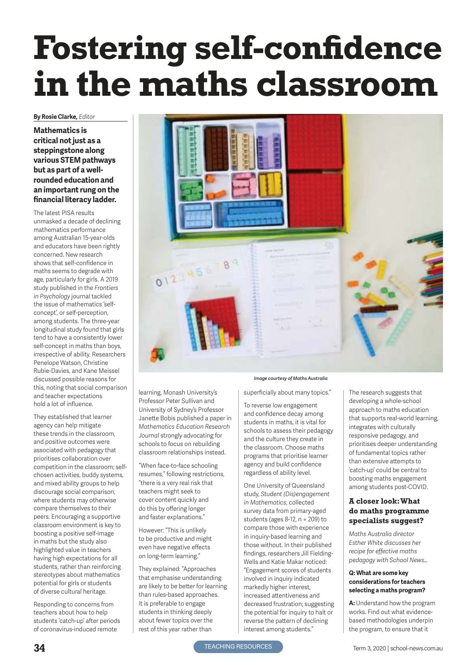# **Fostering self-confidence in the maths classroom**

#### **By Rosie Clarke***, Editor*

**Mathematics is critical not just as a steppingstone along various STEM pathways but as part of a wellrounded education and an important rung on the financial literacy ladder.** 

The latest PISA results unmasked a decade of declining mathematics performance among Australian 15-year-olds and educators have been rightly concerned. New research shows that self-confidence in maths seems to degrade with age, particularly for girls. A 2019 study published in the *Frontiers in Psychology* journal tackled the issue of mathematics 'selfconcept', or self-perception, among students. The three-year longitudinal study found that girls tend to have a consistently lower self-concept in maths than boys, irrespective of ability. Researchers Penelope Watson, Christine Rubie-Davies, and Kane Meissel discussed possible reasons for this, noting that social comparison and teacher expectations hold a lot of influence.

They established that learner agency can help mitigate these trends in the classroom, and positive outcomes were associated with pedagogy that prioritises collaboration over competition in the classroom; selfchosen activities, buddy systems, and mixed ability groups to help discourage social comparison, where students may otherwise compare themselves to their peers. Encouraging a supportive classroom environment is key to boosting a positive self-image in maths but the study also highlighted value in teachers having high expectations for all students, rather than reinforcing stereotypes about mathematics potential for girls or students of diverse cultural heritage.

Responding to concerns from teachers about how to help students 'catch-up' after periods of coronavirus-induced remote



learning, Monash University's Professor Peter Sullivan and University of Sydney's Professor Janette Bobis published a paper in *Mathematics Education Research Journal* strongly advocating for schools to focus on rebuilding classroom relationships instead.

"When face-to-face schooling resumes," following restrictions, "there is a very real risk that teachers might seek to cover content quickly and do this by offering longer and faster explanations."

However: "This is unlikely to be productive and might even have negative effects on long-term learning."

They explained: "Approaches that emphasise understanding are likely to be better for learning than rules-based approaches. It is preferable to engage students in thinking deeply about fewer topics over the rest of this year rather than

#### *Image courtesy of Maths Australia*

superficially about many topics."

To reverse low engagement and confidence decay among students in maths, it is vital for schools to assess their pedagogy and the culture they create in the classroom. Choose maths programs that prioritise learner agency and build confidence regardless of ability level.

One University of Queensland study, *Student (Dis)engagement in Mathematics*, collected survey data from primary-aged students (ages 8-12, n = 209) to compare those with experience in inquiry-based learning and those without. In their published findings, researchers Jill Fielding-Wells and Katie Makar noticed: "Engagement scores of students involved in inquiry indicated markedly higher interest, increased attentiveness and decreased frustration; suggesting the potential for inquiry to halt or reverse the pattern of declining interest among students."

The research suggests that developing a whole-school approach to maths education that supports real-world learning, integrates with culturally responsive pedagogy, and prioritises deeper understanding of fundamental topics rather than extensive attempts to 'catch-up' could be central to boosting maths engagement among students post-COVID.

#### **A closer look: What do maths programme specialists suggest?**

*Maths Australia director Esther White discusses her recipe for effective maths pedagogy with School News…*

#### **Q: What are some key considerations for teachers selecting a maths program?**

**A:** Understand how the program works. Find out what evidencebased methodologies underpin the program, to ensure that it